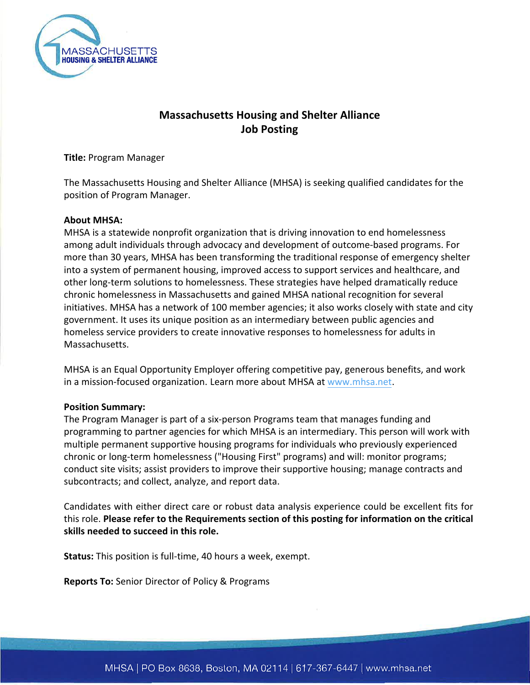

# **Massachusetts Housing and Shelter Alliance Job Posting**

**Title:** Program Manager

The Massachusetts Housing and Shelter Alliance (MHSA) is seeking qualified candidates for the position of Program Manager.

#### **About MHSA:**

MHSA is a statewide nonprofit organization that is driving innovation to end homelessness among adult individuals through advocacy and development of outcome-based programs. For more than 30 years, MHSA has been transforming the traditional response of emergency shelter into a system of permanent housing, improved access to support services and healthcare, and other long-term solutions to homelessness. These strategies have helped dramatically reduce chronic homelessness in Massachusetts and gained MHSA national recognition for several initiatives. MHSA has a network of 100 member agencies; it also works closely with state and city government. It uses its unique position as an intermediary between public agencies and homeless service providers to create innovative responses to homelessness for adults in Massachusetts.

MHSA is an Equal Opportunity Employer offering competitive pay, generous benefits, and work in a mission-focused organization. Learn more about MHSA at [www.mhsa.net.](https://mhsa.net/)

#### **Position Summary:**

The Program Manager is part of a six-person Programs team that manages funding and programming to partner agencies for which MHSA is an intermediary. This person will work with multiple permanent supportive housing programs for individuals who previously experienced chronic or long-term homelessness ("Housing First" programs) and will: monitor programs; conduct site visits; assist providers to improve their supportive housing; manage contracts and subcontracts; and collect, analyze, and report data.

Candidates with either direct care or robust data analysis experience could be excellent fits for this role. **Please refer to the Requirements section of this posting for information on the critical skills needed to succeed in this role.** 

**Status:** This position is full-time, 40 hours a week, exempt.

**Reports To:** Senior Director of Policy & Programs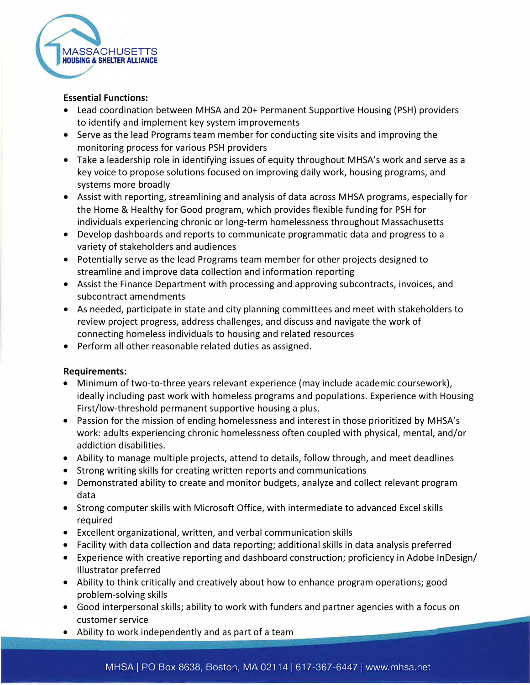

# **Essential Functions:**

- Lead coordination between MHSA and 20+ Permanent Supportive Housing (PSH) providers to identify and implement key system improvements
- Serve as the lead Programs team member for conducting site visits and improving the monitoring process for various PSH providers
- Take a leadership role in identifying issues of equity throughout MHSA's work and serve as a key voice to propose solutions focused on improving daily work, housing programs, and systems more broadly
- Assist with reporting, streamlining and analysis of data across MHSA programs, especially for the Home & Healthy for Good program, which provides flexible funding for PSH for individuals experiencing chronic or long-term homelessness throughout Massachusetts
- Develop dashboards and reports to communicate programmatic data and progress to a variety of stakeholders and audiences
- Potentially serve as the lead Programs team member for other projects designed to streamline and improve data collection and information reporting
- Assist the Finance Department with processing and approving subcontracts, invoices, and subcontract amendments
- As needed, participate in state and city planning committees and meet with stakeholders to review project progress, address challenges, and discuss and navigate the work of connecting homeless individuals to housing and related resources
- Perform all other reasonable related duties as assigned.

# **Requirements:**

- Minimum of two-to-three years relevant experience (may include academic coursework), ideally including past work with homeless programs and populations. Experience with Housing First/low-threshold permanent supportive housing a plus.
- Passion for the mission of ending homelessness and interest in those prioritized by MHSA's work: adults experiencing chronic homelessness often coupled with physical, mental, and/or addiction disabilities.
- Ability to manage multiple projects, attend to details, follow through, and meet deadlines
- Strong writing skills for creating written reports and communications
- Demonstrated ability to create and monitor budgets, analyze and collect relevant program data
- Strong computer skills with Microsoft Office, with intermediate to advanced Excel skills required
- Excellent organizational, written, and verbal communication skills
- Facility with data collection and data reporting; additional skills in data analysis preferred
- Experience with creative reporting and dashboard construction; proficiency in Adobe InDesign/ Illustrator preferred
- Ability to think critically and creatively about how to enhance program operations; good problem-solving skills
- Good interpersonal skills; ability to work with funders and partner agencies with a focus on customer service
- Ability to work independently and as part of a team